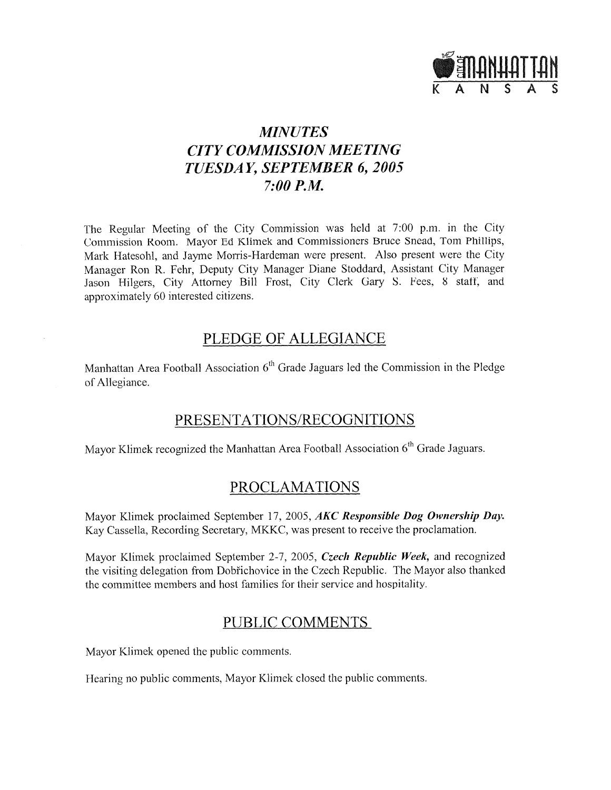

# **MINUTES CITY COMMISSION MEETING** TUESDAY, SEPTEMBER 6, 2005  $7:00$  *P.M.*

The Regular Meeting of the City Commission was held at 7:00 p.m. in the City Commission Room. Mayor Ed Klimek and Commissioners Bruce Snead, Tom Phillips, Mark Hatesohl, and Jayme Morris-Hardeman were present. Also present were the City Manager Ron R. Fehr, Deputy City Manager Diane Stoddard, Assistant City Manager Jason Hilgers, City Attorney Bill Frost, City Clerk Gary S. Fees, 8 staff, and approximately 60 interested citizens.

# PLEDGE OF ALLEGIANCE

Manhattan Area Football Association 6<sup>th</sup> Grade Jaguars led the Commission in the Pledge of Allegiance.

## PRESENTATIONS/RECOGNITIONS

Mayor Klimek recognized the Manhattan Area Football Association 6<sup>th</sup> Grade Jaguars.

# **PROCLAMATIONS**

Mayor Klimek proclaimed September 17, 2005, AKC Responsible Dog Ownership Day. Kay Cassella, Recording Secretary, MKKC, was present to receive the proclamation.

Mayor Klimek proclaimed September 2-7, 2005, Czech Republic Week, and recognized the visiting delegation from Dobřichovice in the Czech Republic. The Mayor also thanked the committee members and host families for their service and hospitality.

# PUBLIC COMMENTS

Mayor Klimek opened the public comments.

Hearing no public comments, Mayor Klimek closed the public comments.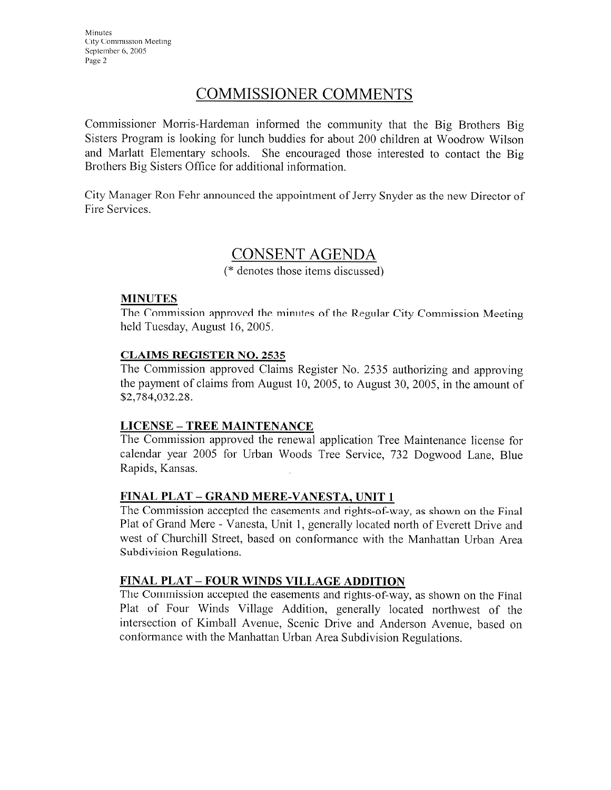# **COMMISSIONER COMMENTS**

Commissioner Morris-Hardeman informed the community that the Big Brothers Big Sisters Program is looking for lunch buddies for about 200 children at Woodrow Wilson and Marlatt Elementary schools. She encouraged those interested to contact the Big Brothers Big Sisters Office for additional information.

City Manager Ron Fehr announced the appointment of Jerry Snyder as the new Director of Fire Services.

# **CONSENT AGENDA**

(\* denotes those items discussed)

#### **MINUTES**

The Commission approved the minutes of the Regular City Commission Meeting held Tuesday, August 16, 2005.

#### **CLAIMS REGISTER NO. 2535**

The Commission approved Claims Register No. 2535 authorizing and approving the payment of claims from August 10, 2005, to August 30, 2005, in the amount of \$2,784,032.28.

#### **LICENSE - TREE MAINTENANCE**

The Commission approved the renewal application Tree Maintenance license for calendar year 2005 for Urban Woods Tree Service, 732 Dogwood Lane, Blue Rapids, Kansas.

#### FINAL PLAT - GRAND MERE-VANESTA, UNIT 1

The Commission accepted the easements and rights-of-way, as shown on the Final Plat of Grand Mere - Vanesta, Unit 1, generally located north of Everett Drive and west of Churchill Street, based on conformance with the Manhattan Urban Area Subdivision Regulations.

## FINAL PLAT - FOUR WINDS VILLAGE ADDITION

The Commission accepted the easements and rights-of-way, as shown on the Final Plat of Four Winds Village Addition, generally located northwest of the intersection of Kimball Avenue, Scenic Drive and Anderson Avenue, based on conformance with the Manhattan Urban Area Subdivision Regulations.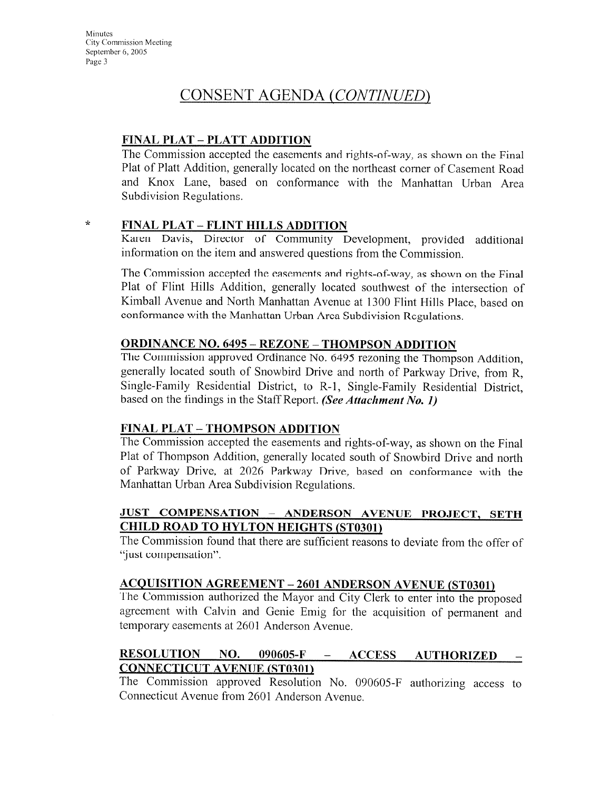# CONSENT AGENDA (CONTINUED)

## **FINAL PLAT - PLATT ADDITION**

The Commission accepted the easements and rights-of-way, as shown on the Final Plat of Platt Addition, generally located on the northeast corner of Casement Road and Knox Lane, based on conformance with the Manhattan Urban Area Subdivision Regulations.

 $\star$ 

#### **FINAL PLAT - FLINT HILLS ADDITION**

Karen Davis, Director of Community Development, provided additional information on the item and answered questions from the Commission.

The Commission accepted the easements and rights-of-way, as shown on the Final Plat of Flint Hills Addition, generally located southwest of the intersection of Kimball Avenue and North Manhattan Avenue at 1300 Flint Hills Place, based on conformance with the Manhattan Urban Area Subdivision Regulations.

#### **ORDINANCE NO. 6495 - REZONE - THOMPSON ADDITION**

The Commission approved Ordinance No. 6495 rezoning the Thompson Addition. generally located south of Snowbird Drive and north of Parkway Drive, from R, Single-Family Residential District, to R-1, Single-Family Residential District, based on the findings in the Staff Report. (See Attachment No. 1)

#### **FINAL PLAT - THOMPSON ADDITION**

The Commission accepted the easements and rights-of-way, as shown on the Final Plat of Thompson Addition, generally located south of Snowbird Drive and north of Parkway Drive, at 2026 Parkway Drive, based on conformance with the Manhattan Urban Area Subdivision Regulations.

### JUST COMPENSATION - ANDERSON AVENUE PROJECT, SETH **CHILD ROAD TO HYLTON HEIGHTS (ST0301)**

The Commission found that there are sufficient reasons to deviate from the offer of "just compensation".

# **ACQUISITION AGREEMENT - 2601 ANDERSON AVENUE (ST0301)**

The Commission authorized the Mayor and City Clerk to enter into the proposed agreement with Calvin and Genie Emig for the acquisition of permanent and temporary easements at 2601 Anderson Avenue.

#### **RESOLUTION** NO. 090605-F  $\frac{1}{2}$ **ACCESS AUTHORIZED CONNECTICUT AVENUE (ST0301)**

The Commission approved Resolution No. 090605-F authorizing access to Connecticut Avenue from 2601 Anderson Avenue.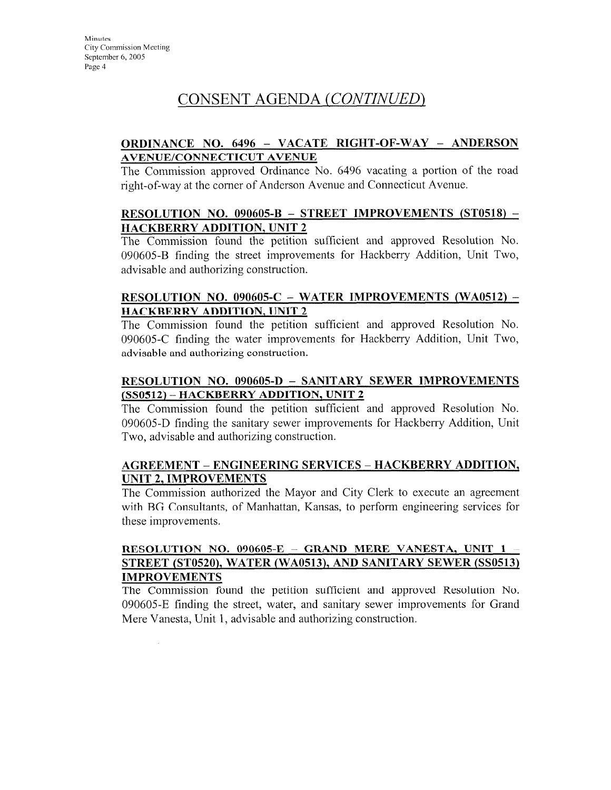# CONSENT AGENDA (CONTINUED)

### **ORDINANCE NO. 6496 - VACATE RIGHT-OF-WAY - ANDERSON AVENUE/CONNECTICUT AVENUE**

The Commission approved Ordinance No. 6496 vacating a portion of the road right-of-way at the corner of Anderson Avenue and Connecticut Avenue.

#### RESOLUTION NO. 090605-B - STREET IMPROVEMENTS  $(ST0518)$  -HACKBERRY ADDITION, UNIT 2

The Commission found the petition sufficient and approved Resolution No. 090605-B finding the street improvements for Hackberry Addition, Unit Two, advisable and authorizing construction.

#### RESOLUTION NO. 090605-C - WATER IMPROVEMENTS (WA0512) -**HACKBERRY ADDITION, UNIT 2**

The Commission found the petition sufficient and approved Resolution No. 090605-C finding the water improvements for Hackberry Addition, Unit Two, advisable and authorizing construction.

#### RESOLUTION NO. 090605-D - SANITARY SEWER IMPROVEMENTS (SS0512) - HACKBERRY ADDITION, UNIT 2

The Commission found the petition sufficient and approved Resolution No. 090605-D finding the sanitary sewer improvements for Hackberry Addition, Unit Two, advisable and authorizing construction.

#### **AGREEMENT – ENGINEERING SERVICES – HACKBERRY ADDITION, UNIT 2. IMPROVEMENTS**

The Commission authorized the Mayor and City Clerk to execute an agreement with BG Consultants, of Manhattan, Kansas, to perform engineering services for these improvements.

#### RESOLUTION NO. 090605-E - GRAND MERE VANESTA, UNIT 1 STREET (ST0520), WATER (WA0513), AND SANITARY SEWER (SS0513) **IMPROVEMENTS**

The Commission found the petition sufficient and approved Resolution No. 090605-E finding the street, water, and sanitary sewer improvements for Grand Mere Vanesta, Unit 1, advisable and authorizing construction.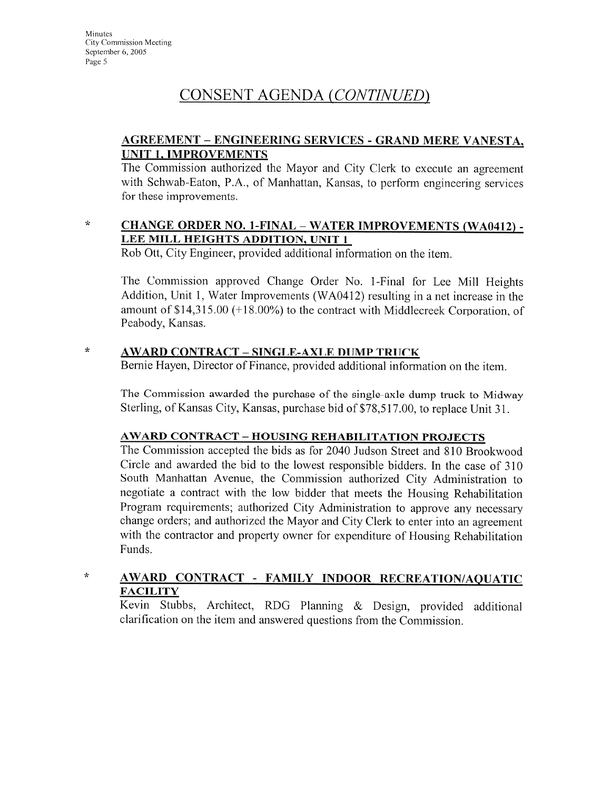# CONSENT AGENDA (CONTINUED)

### **AGREEMENT - ENGINEERING SERVICES - GRAND MERE VANESTA, UNIT 1, IMPROVEMENTS**

The Commission authorized the Mayor and City Clerk to execute an agreement with Schwab-Eaton, P.A., of Manhattan, Kansas, to perform engineering services for these improvements.

#### **CHANGE ORDER NO. 1-FINAL - WATER IMPROVEMENTS (WA0412) -** $\star$ LEE MILL HEIGHTS ADDITION, UNIT 1

Rob Ott, City Engineer, provided additional information on the item.

The Commission approved Change Order No. 1-Final for Lee Mill Heights Addition, Unit 1, Water Improvements (WA0412) resulting in a net increase in the amount of \$14,315.00 (+18.00%) to the contract with Middlecreek Corporation, of Peabody, Kansas.

#### $\star$ **AWARD CONTRACT - SINGLE-AXLE DUMP TRUCK**

Bernie Hayen, Director of Finance, provided additional information on the item.

The Commission awarded the purchase of the single-axle dump truck to Midway Sterling, of Kansas City, Kansas, purchase bid of \$78,517.00, to replace Unit 31.

## **AWARD CONTRACT - HOUSING REHABILITATION PROJECTS**

The Commission accepted the bids as for 2040 Judson Street and 810 Brookwood Circle and awarded the bid to the lowest responsible bidders. In the case of 310 South Manhattan Avenue, the Commission authorized City Administration to negotiate a contract with the low bidder that meets the Housing Rehabilitation Program requirements; authorized City Administration to approve any necessary change orders; and authorized the Mayor and City Clerk to enter into an agreement with the contractor and property owner for expenditure of Housing Rehabilitation Funds.

#### $\star$ AWARD CONTRACT - FAMILY INDOOR RECREATION/AQUATIC **FACILITY**

Kevin Stubbs, Architect, RDG Planning & Design, provided additional clarification on the item and answered questions from the Commission.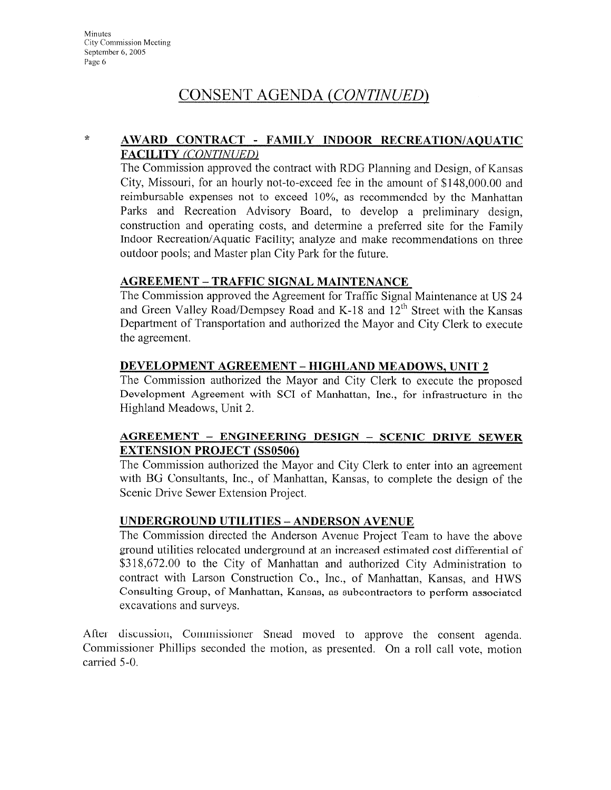# CONSENT AGENDA (CONTINUED)

 $\mathcal{R}$ 

#### AWARD CONTRACT - FAMILY INDOOR RECREATION/AQUATIC **FACILITY (CONTINUED)**

The Commission approved the contract with RDG Planning and Design, of Kansas City, Missouri, for an hourly not-to-exceed fee in the amount of \$148,000,00 and reimbursable expenses not to exceed  $10\%$ , as recommended by the Manhattan Parks and Recreation Advisory Board, to develop a preliminary design. construction and operating costs, and determine a preferred site for the Family Indoor Recreation/Aquatic Facility; analyze and make recommendations on three outdoor pools; and Master plan City Park for the future.

### **AGREEMENT - TRAFFIC SIGNAL MAINTENANCE**

The Commission approved the Agreement for Traffic Signal Maintenance at US 24 and Green Valley Road/Dempsey Road and K-18 and 12<sup>th</sup> Street with the Kansas Department of Transportation and authorized the Mayor and City Clerk to execute the agreement.

#### **DEVELOPMENT AGREEMENT - HIGHLAND MEADOWS, UNIT 2**

The Commission authorized the Mayor and City Clerk to execute the proposed Development Agreement with SCI of Manhattan, Inc., for infrastructure in the Highland Meadows, Unit 2.

#### AGREEMENT - ENGINEERING DESIGN - SCENIC DRIVE SEWER **EXTENSION PROJECT (SS0506)**

The Commission authorized the Mayor and City Clerk to enter into an agreement with BG Consultants, Inc., of Manhattan, Kansas, to complete the design of the Scenic Drive Sewer Extension Project.

#### **UNDERGROUND UTILITIES - ANDERSON AVENUE**

The Commission directed the Anderson Avenue Project Team to have the above ground utilities relocated underground at an increased estimated cost differential of \$318,672.00 to the City of Manhattan and authorized City Administration to contract with Larson Construction Co., Inc., of Manhattan, Kansas, and HWS Consulting Group, of Manhattan, Kansas, as subcontractors to perform associated excavations and surveys.

After discussion, Commissioner Snead moved to approve the consent agenda. Commissioner Phillips seconded the motion, as presented. On a roll call vote, motion carried 5-0.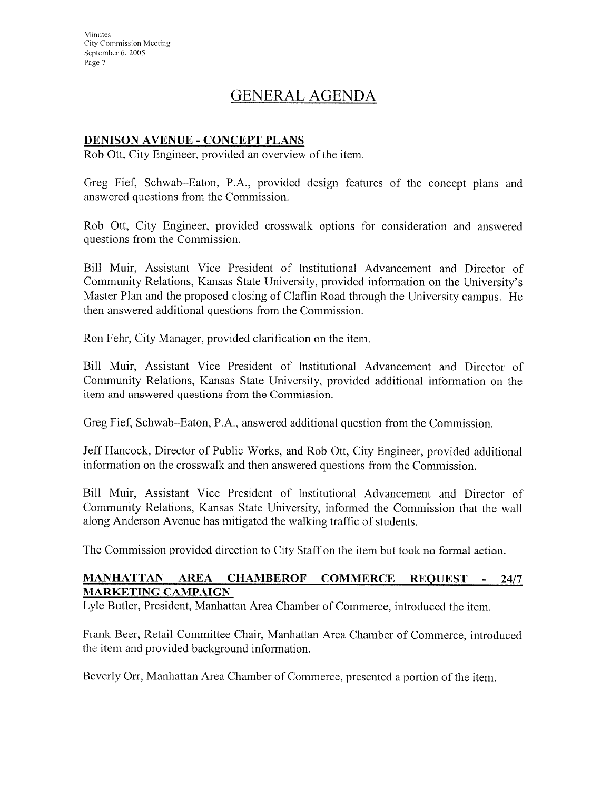# **GENERAL AGENDA**

#### **DENISON AVENUE - CONCEPT PLANS**

Rob Ott, City Engineer, provided an overview of the item.

Greg Fief, Schwab-Eaton, P.A., provided design features of the concept plans and answered questions from the Commission.

Rob Ott, City Engineer, provided crosswalk options for consideration and answered questions from the Commission.

Bill Muir, Assistant Vice President of Institutional Advancement and Director of Community Relations, Kansas State University, provided information on the University's Master Plan and the proposed closing of Claflin Road through the University campus. He then answered additional questions from the Commission.

Ron Fehr, City Manager, provided clarification on the item.

Bill Muir, Assistant Vice President of Institutional Advancement and Director of Community Relations, Kansas State University, provided additional information on the item and answered questions from the Commission.

Greg Fief, Schwab–Eaton, P.A., answered additional question from the Commission.

Jeff Hancock, Director of Public Works, and Rob Ott, City Engineer, provided additional information on the crosswalk and then answered questions from the Commission.

Bill Muir, Assistant Vice President of Institutional Advancement and Director of Community Relations, Kansas State University, informed the Commission that the wall along Anderson Avenue has mitigated the walking traffic of students.

The Commission provided direction to City Staff on the item but took no formal action.

#### MANHATTAN AREA CHAMBEROF COMMERCE REQUEST - 24/7 **MARKETING CAMPAIGN**

Lyle Butler, President, Manhattan Area Chamber of Commerce, introduced the item.

Frank Beer, Retail Committee Chair, Manhattan Area Chamber of Commerce, introduced the item and provided background information.

Beverly Orr, Manhattan Area Chamber of Commerce, presented a portion of the item.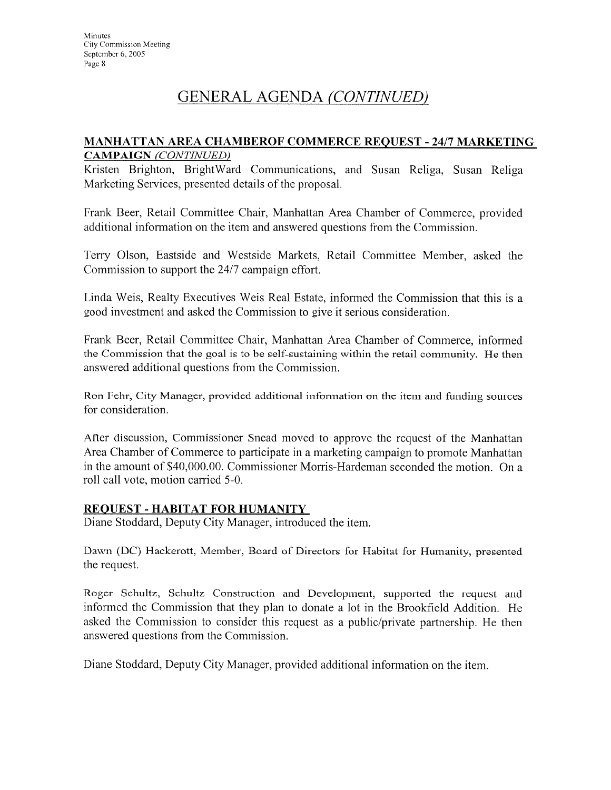# GENERAL AGENDA (CONTINUED)

#### MANHATTAN AREA CHAMBEROF COMMERCE REQUEST - 24/7 MARKETING **CAMPAIGN** (CONTINUED)

Kristen Brighton, BrightWard Communications, and Susan Religa, Susan Religa Marketing Services, presented details of the proposal.

Frank Beer, Retail Committee Chair, Manhattan Area Chamber of Commerce, provided additional information on the item and answered questions from the Commission.

Terry Olson, Eastside and Westside Markets, Retail Committee Member, asked the Commission to support the 24/7 campaign effort.

Linda Weis, Realty Executives Weis Real Estate, informed the Commission that this is a good investment and asked the Commission to give it serious consideration.

Frank Beer, Retail Committee Chair, Manhattan Area Chamber of Commerce, informed the Commission that the goal is to be self-sustaining within the retail community. He then answered additional questions from the Commission.

Ron Fehr, City Manager, provided additional information on the item and funding sources for consideration.

After discussion, Commissioner Snead moved to approve the request of the Manhattan Area Chamber of Commerce to participate in a marketing campaign to promote Manhattan in the amount of \$40,000.00. Commissioner Morris-Hardeman seconded the motion. On a roll call vote, motion carried 5-0.

#### **REQUEST - HABITAT FOR HUMANITY**

Diane Stoddard, Deputy City Manager, introduced the item.

Dawn (DC) Hackerott, Member, Board of Directors for Habitat for Humanity, presented the request.

Roger Schultz, Schultz Construction and Development, supported the request and informed the Commission that they plan to donate a lot in the Brookfield Addition. He asked the Commission to consider this request as a public/private partnership. He then answered questions from the Commission.

Diane Stoddard, Deputy City Manager, provided additional information on the item.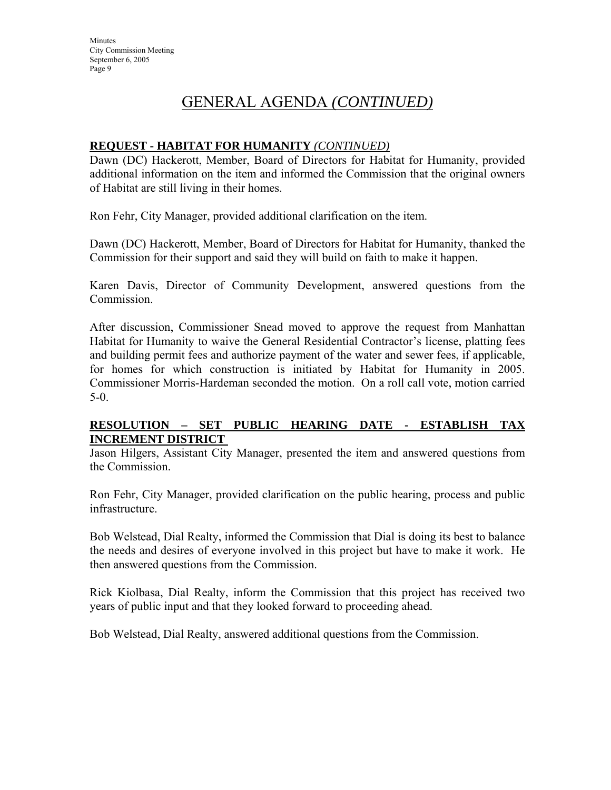# GENERAL AGENDA *(CONTINUED)*

#### **REQUEST - HABITAT FOR HUMANITY** *(CONTINUED)*

Dawn (DC) Hackerott, Member, Board of Directors for Habitat for Humanity, provided additional information on the item and informed the Commission that the original owners of Habitat are still living in their homes.

Ron Fehr, City Manager, provided additional clarification on the item.

Dawn (DC) Hackerott, Member, Board of Directors for Habitat for Humanity, thanked the Commission for their support and said they will build on faith to make it happen.

Karen Davis, Director of Community Development, answered questions from the Commission.

After discussion, Commissioner Snead moved to approve the request from Manhattan Habitat for Humanity to waive the General Residential Contractor's license, platting fees and building permit fees and authorize payment of the water and sewer fees, if applicable, for homes for which construction is initiated by Habitat for Humanity in 2005. Commissioner Morris-Hardeman seconded the motion. On a roll call vote, motion carried 5-0.

### **RESOLUTION – SET PUBLIC HEARING DATE - ESTABLISH TAX INCREMENT DISTRICT**

Jason Hilgers, Assistant City Manager, presented the item and answered questions from the Commission.

Ron Fehr, City Manager, provided clarification on the public hearing, process and public infrastructure.

Bob Welstead, Dial Realty, informed the Commission that Dial is doing its best to balance the needs and desires of everyone involved in this project but have to make it work. He then answered questions from the Commission.

Rick Kiolbasa, Dial Realty, inform the Commission that this project has received two years of public input and that they looked forward to proceeding ahead.

Bob Welstead, Dial Realty, answered additional questions from the Commission.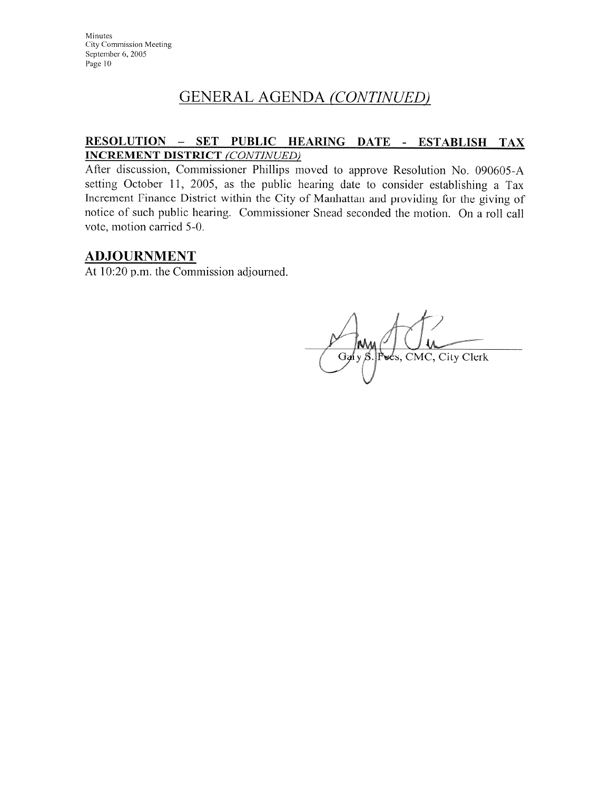# **GENERAL AGENDA (CONTINUED)**

## RESOLUTION - SET PUBLIC HEARING DATE - ESTABLISH TAX **INCREMENT DISTRICT (CONTINUED)**

After discussion, Commissioner Phillips moved to approve Resolution No. 090605-A setting October 11, 2005, as the public hearing date to consider establishing a Tax Increment Finance District within the City of Manhattan and providing for the giving of notice of such public hearing. Commissioner Snead seconded the motion. On a roll call vote, motion carried 5-0.

## **ADJOURNMENT**

At 10:20 p.m. the Commission adjourned.

Ga y S. Pees, CMC, City Clerk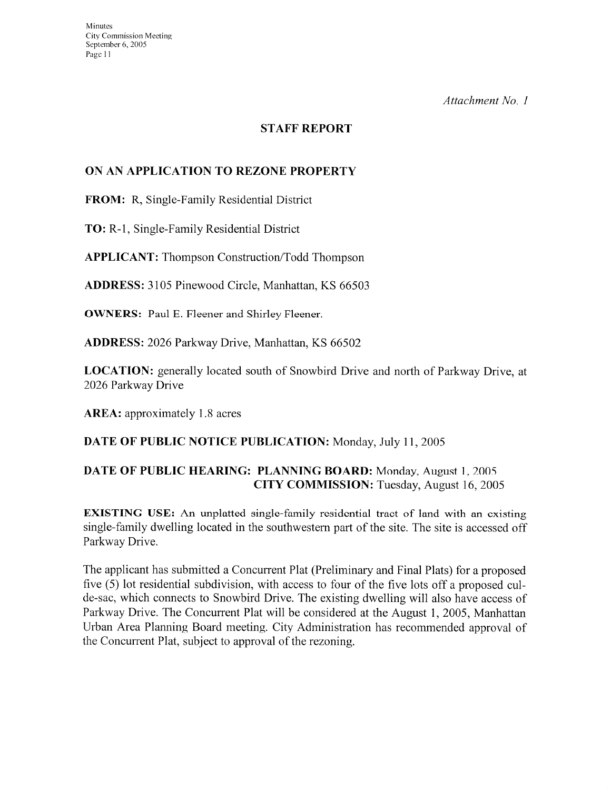Attachment No. 1

## **STAFF REPORT**

#### ON AN APPLICATION TO REZONE PROPERTY

FROM: R, Single-Family Residential District

**TO:** R-1, Single-Family Residential District

**APPLICANT:** Thompson Construction/Todd Thompson

ADDRESS: 3105 Pinewood Circle, Manhattan, KS 66503

**OWNERS:** Paul E. Fleener and Shirley Fleener.

**ADDRESS:** 2026 Parkway Drive, Manhattan, KS 66502

**LOCATION:** generally located south of Snowbird Drive and north of Parkway Drive, at 2026 Parkway Drive

**AREA:** approximately 1.8 acres

#### DATE OF PUBLIC NOTICE PUBLICATION: Monday, July 11, 2005

### DATE OF PUBLIC HEARING: PLANNING BOARD: Monday, August 1, 2005 **CITY COMMISSION:** Tuesday, August 16, 2005

**EXISTING USE:** An unplatted single-family residential tract of land with an existing single-family dwelling located in the southwestern part of the site. The site is accessed off Parkway Drive.

The applicant has submitted a Concurrent Plat (Preliminary and Final Plats) for a proposed five (5) lot residential subdivision, with access to four of the five lots off a proposed culde-sac, which connects to Snowbird Drive. The existing dwelling will also have access of Parkway Drive. The Concurrent Plat will be considered at the August 1, 2005, Manhattan Urban Area Planning Board meeting. City Administration has recommended approval of the Concurrent Plat, subject to approval of the rezoning.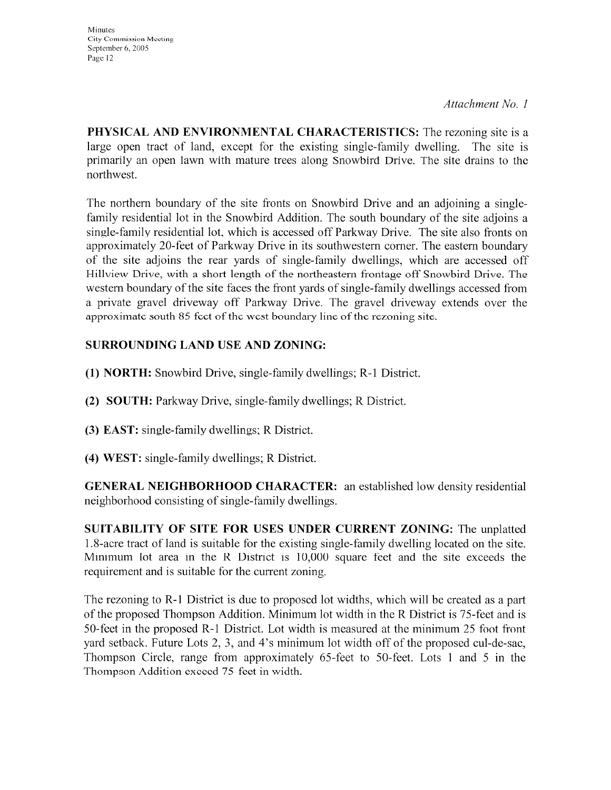Attachment No. 1

**Minutes** City Commission Meeting September 6, 2005 Page 12

PHYSICAL AND ENVIRONMENTAL CHARACTERISTICS: The rezoning site is a large open tract of land, except for the existing single-family dwelling. The site is primarily an open lawn with mature trees along Snowbird Drive. The site drains to the northwest.

The northern boundary of the site fronts on Snowbird Drive and an adjoining a singlefamily residential lot in the Snowbird Addition. The south boundary of the site adjoins a single-family residential lot, which is accessed off Parkway Drive. The site also fronts on approximately 20-feet of Parkway Drive in its southwestern corner. The eastern boundary of the site adjoins the rear yards of single-family dwellings, which are accessed off Hillview Drive, with a short length of the northeastern frontage off Snowbird Drive. The western boundary of the site faces the front yards of single-family dwellings accessed from a private gravel driveway off Parkway Drive. The gravel driveway extends over the approximate south 85 fect of the west boundary line of the rezoning site.

## **SURROUNDING LAND USE AND ZONING:**

- (1) **NORTH:** Snowbird Drive, single-family dwellings; R-1 District.
- (2) SOUTH: Parkway Drive, single-family dwellings; R District.
- (3) EAST: single-family dwellings; R District.
- (4) WEST: single-family dwellings; R District.

**GENERAL NEIGHBORHOOD CHARACTER:** an established low density residential neighborhood consisting of single-family dwellings.

SUITABILITY OF SITE FOR USES UNDER CURRENT ZONING: The unplatted 1.8-acre tract of land is suitable for the existing single-family dwelling located on the site. Minimum lot area in the R District is 10,000 square feet and the site exceeds the requirement and is suitable for the current zoning.

The rezoning to R-1 District is due to proposed lot widths, which will be created as a part of the proposed Thompson Addition. Minimum lot width in the R District is 75-feet and is 50-feet in the proposed R-1 District. Lot width is measured at the minimum 25 foot front yard setback. Future Lots 2, 3, and 4's minimum lot width off of the proposed cul-de-sac, Thompson Circle, range from approximately 65-feet to 50-feet. Lots 1 and 5 in the Thompson Addition exceed 75 feet in width.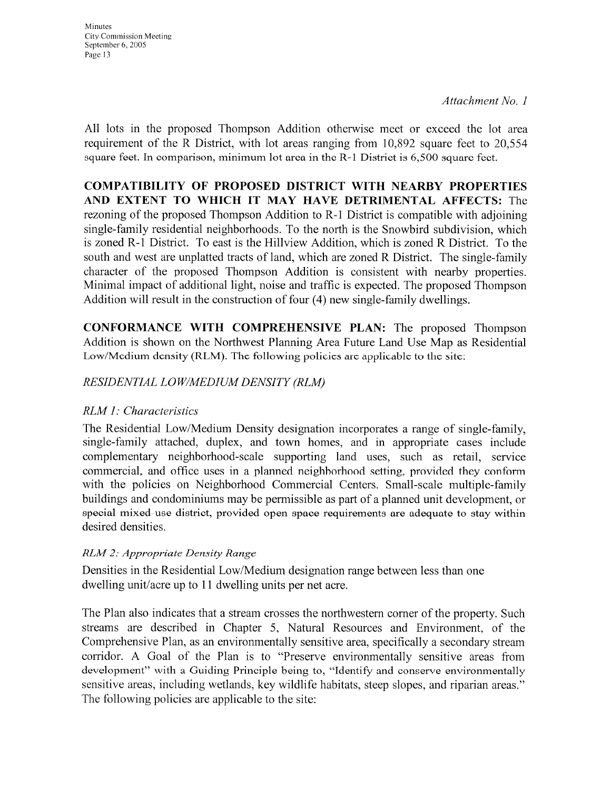Attachment No. 1

All lots in the proposed Thompson Addition otherwise meet or exceed the lot area requirement of the R District, with lot areas ranging from 10,892 square feet to 20,554 square feet. In comparison, minimum lot area in the R-1 District is 6,500 square feet.

**COMPATIBILITY OF PROPOSED DISTRICT WITH NEARBY PROPERTIES** AND EXTENT TO WHICH IT MAY HAVE DETRIMENTAL AFFECTS: The rezoning of the proposed Thompson Addition to R-1 District is compatible with adjoining single-family residential neighborhoods. To the north is the Snowbird subdivision, which is zoned R-1 District. To east is the Hillview Addition, which is zoned R District. To the south and west are unplatted tracts of land, which are zoned R District. The single-family character of the proposed Thompson Addition is consistent with nearby properties. Minimal impact of additional light, noise and traffic is expected. The proposed Thompson Addition will result in the construction of four (4) new single-family dwellings.

CONFORMANCE WITH COMPREHENSIVE PLAN: The proposed Thompson Addition is shown on the Northwest Planning Area Future Land Use Map as Residential Low/Medium density (RLM). The following policies are applicable to the site:

## RESIDENTIAL LOW/MEDIUM DENSITY (RLM)

## RLM 1: Characteristics

The Residential Low/Medium Density designation incorporates a range of single-family, single-family attached, duplex, and town homes, and in appropriate cases include complementary neighborhood-scale supporting land uses, such as retail, service commercial, and office uses in a planned neighborhood setting, provided they conform with the policies on Neighborhood Commercial Centers. Small-scale multiple-family buildings and condominiums may be permissible as part of a planned unit development, or special mixed-use district, provided open space requirements are adequate to stay within desired densities.

## RLM 2: Appropriate Density Range

Densities in the Residential Low/Medium designation range between less than one dwelling unit/acre up to 11 dwelling units per net acre.

The Plan also indicates that a stream crosses the northwestern corner of the property. Such streams are described in Chapter 5, Natural Resources and Environment, of the Comprehensive Plan, as an environmentally sensitive area, specifically a secondary stream corridor. A Goal of the Plan is to "Preserve environmentally sensitive areas from development" with a Guiding Principle being to, "Identify and conserve environmentally sensitive areas, including wetlands, key wildlife habitats, steep slopes, and riparian areas." The following policies are applicable to the site: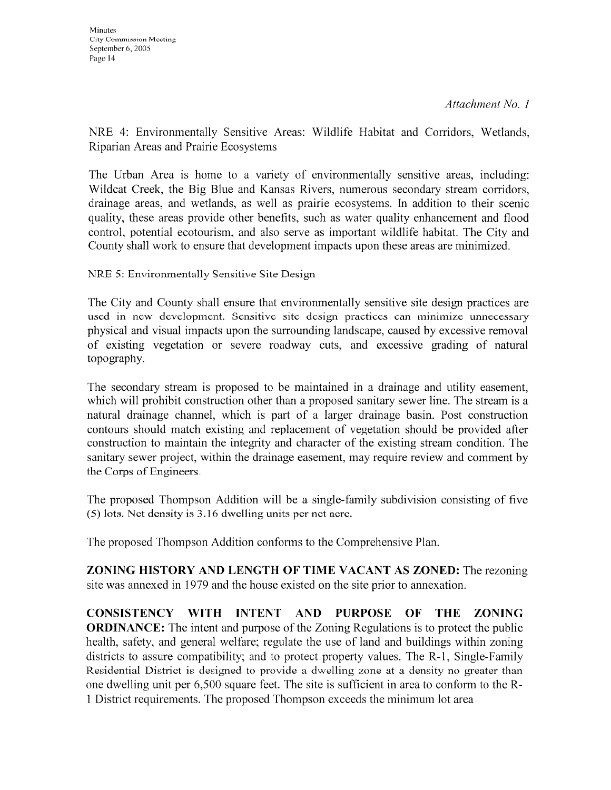Attachment No. 1

NRE 4: Environmentally Sensitive Areas: Wildlife Habitat and Corridors, Wetlands, Riparian Areas and Prairie Ecosystems

The Urban Area is home to a variety of environmentally sensitive areas, including: Wildcat Creek, the Big Blue and Kansas Rivers, numerous secondary stream corridors, drainage areas, and wetlands, as well as prairie ecosystems. In addition to their scenic quality, these areas provide other benefits, such as water quality enhancement and flood control, potential ecotourism, and also serve as important wildlife habitat. The City and County shall work to ensure that development impacts upon these areas are minimized.

NRE 5: Environmentally Sensitive Site Design

The City and County shall ensure that environmentally sensitive site design practices are used in new development. Sensitive site design practices can minimize unnecessary physical and visual impacts upon the surrounding landscape, caused by excessive removal of existing vegetation or severe roadway cuts, and excessive grading of natural topography.

The secondary stream is proposed to be maintained in a drainage and utility easement, which will prohibit construction other than a proposed sanitary sewer line. The stream is a natural drainage channel, which is part of a larger drainage basin. Post construction contours should match existing and replacement of vegetation should be provided after construction to maintain the integrity and character of the existing stream condition. The sanitary sewer project, within the drainage easement, may require review and comment by the Corps of Engineers.

The proposed Thompson Addition will be a single-family subdivision consisting of five (5) lots. Net density is 3.16 dwelling units per net aere.

The proposed Thompson Addition conforms to the Comprehensive Plan.

ZONING HISTORY AND LENGTH OF TIME VACANT AS ZONED: The rezoning site was annexed in 1979 and the house existed on the site prior to annexation.

**CONSISTENCY WITH INTENT AND** PURPOSE OF THE ZONING **ORDINANCE:** The intent and purpose of the Zoning Regulations is to protect the public health, safety, and general welfare; regulate the use of land and buildings within zoning districts to assure compatibility; and to protect property values. The R-1, Single-Family Residential District is designed to provide a dwelling zone at a density no greater than one dwelling unit per 6,500 square feet. The site is sufficient in area to conform to the R-1 District requirements. The proposed Thompson exceeds the minimum lot area